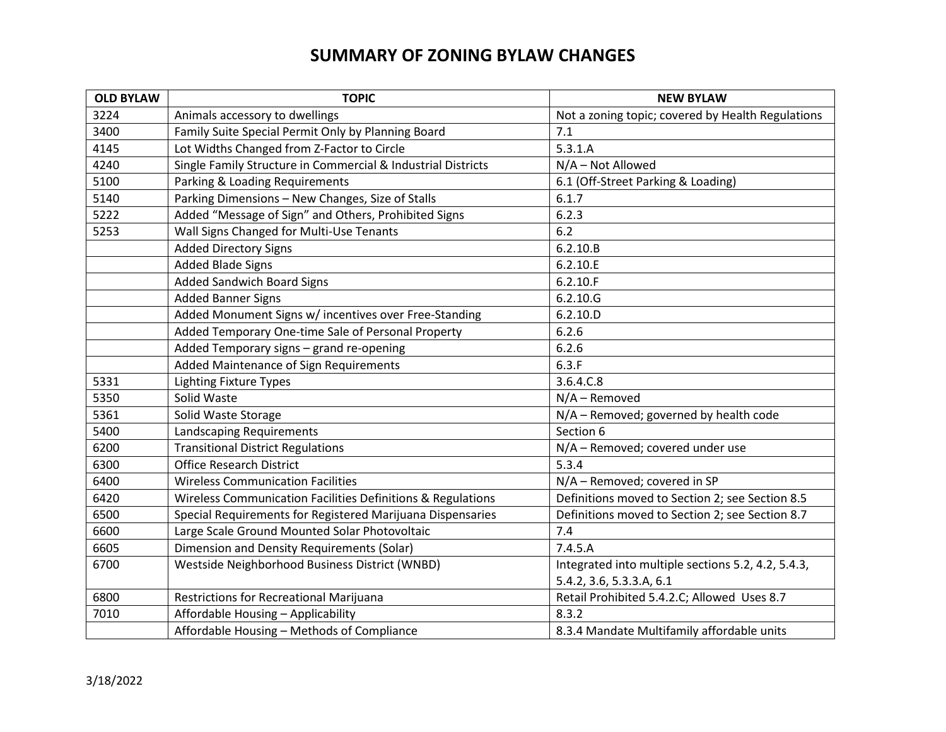# **SUMMARY OF ZONING BYLAW CHANGES**

| <b>OLD BYLAW</b> | <b>TOPIC</b>                                                 | <b>NEW BYLAW</b>                                   |
|------------------|--------------------------------------------------------------|----------------------------------------------------|
| 3224             | Animals accessory to dwellings                               | Not a zoning topic; covered by Health Regulations  |
| 3400             | Family Suite Special Permit Only by Planning Board           | 7.1                                                |
| 4145             | Lot Widths Changed from Z-Factor to Circle                   | 5.3.1.A                                            |
| 4240             | Single Family Structure in Commercial & Industrial Districts | N/A - Not Allowed                                  |
| 5100             | Parking & Loading Requirements                               | 6.1 (Off-Street Parking & Loading)                 |
| 5140             | Parking Dimensions - New Changes, Size of Stalls             | 6.1.7                                              |
| 5222             | Added "Message of Sign" and Others, Prohibited Signs         | 6.2.3                                              |
| 5253             | Wall Signs Changed for Multi-Use Tenants                     | 6.2                                                |
|                  | <b>Added Directory Signs</b>                                 | 6.2.10.B                                           |
|                  | <b>Added Blade Signs</b>                                     | 6.2.10.E                                           |
|                  | <b>Added Sandwich Board Signs</b>                            | 6.2.10.F                                           |
|                  | <b>Added Banner Signs</b>                                    | 6.2.10.G                                           |
|                  | Added Monument Signs w/ incentives over Free-Standing        | 6.2.10.D                                           |
|                  | Added Temporary One-time Sale of Personal Property           | 6.2.6                                              |
|                  | Added Temporary signs - grand re-opening                     | 6.2.6                                              |
|                  | Added Maintenance of Sign Requirements                       | 6.3.F                                              |
| 5331             | <b>Lighting Fixture Types</b>                                | 3.6.4.C.8                                          |
| 5350             | Solid Waste                                                  | $N/A -$ Removed                                    |
| 5361             | Solid Waste Storage                                          | N/A - Removed; governed by health code             |
| 5400             | Landscaping Requirements                                     | Section 6                                          |
| 6200             | <b>Transitional District Regulations</b>                     | N/A - Removed; covered under use                   |
| 6300             | <b>Office Research District</b>                              | 5.3.4                                              |
| 6400             | <b>Wireless Communication Facilities</b>                     | N/A - Removed; covered in SP                       |
| 6420             | Wireless Communication Facilities Definitions & Regulations  | Definitions moved to Section 2; see Section 8.5    |
| 6500             | Special Requirements for Registered Marijuana Dispensaries   | Definitions moved to Section 2; see Section 8.7    |
| 6600             | Large Scale Ground Mounted Solar Photovoltaic                | 7.4                                                |
| 6605             | Dimension and Density Requirements (Solar)                   | 7.4.5.A                                            |
| 6700             | Westside Neighborhood Business District (WNBD)               | Integrated into multiple sections 5.2, 4.2, 5.4.3, |
|                  |                                                              | 5.4.2, 3.6, 5.3.3.A, 6.1                           |
| 6800             | Restrictions for Recreational Marijuana                      | Retail Prohibited 5.4.2.C; Allowed Uses 8.7        |
| 7010             | Affordable Housing - Applicability                           | 8.3.2                                              |
|                  | Affordable Housing - Methods of Compliance                   | 8.3.4 Mandate Multifamily affordable units         |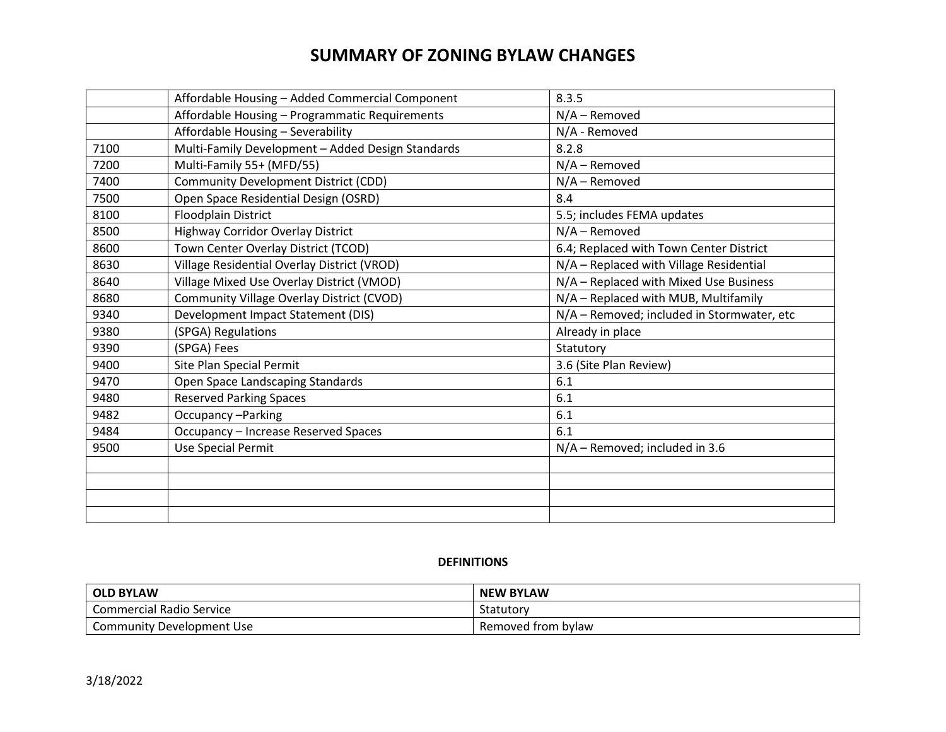# **SUMMARY OF ZONING BYLAW CHANGES**

|      | Affordable Housing - Added Commercial Component   | 8.3.5                                      |
|------|---------------------------------------------------|--------------------------------------------|
|      | Affordable Housing - Programmatic Requirements    | $N/A -$ Removed                            |
|      | Affordable Housing - Severability                 | N/A - Removed                              |
| 7100 | Multi-Family Development - Added Design Standards | 8.2.8                                      |
| 7200 | Multi-Family 55+ (MFD/55)                         | $N/A -$ Removed                            |
| 7400 | Community Development District (CDD)              | $N/A -$ Removed                            |
| 7500 | Open Space Residential Design (OSRD)              | 8.4                                        |
| 8100 | <b>Floodplain District</b>                        | 5.5; includes FEMA updates                 |
| 8500 | <b>Highway Corridor Overlay District</b>          | N/A - Removed                              |
| 8600 | Town Center Overlay District (TCOD)               | 6.4; Replaced with Town Center District    |
| 8630 | Village Residential Overlay District (VROD)       | N/A - Replaced with Village Residential    |
| 8640 | Village Mixed Use Overlay District (VMOD)         | N/A - Replaced with Mixed Use Business     |
| 8680 | Community Village Overlay District (CVOD)         | N/A - Replaced with MUB, Multifamily       |
| 9340 | Development Impact Statement (DIS)                | N/A - Removed; included in Stormwater, etc |
| 9380 | (SPGA) Regulations                                | Already in place                           |
| 9390 | (SPGA) Fees                                       | Statutory                                  |
| 9400 | Site Plan Special Permit                          | 3.6 (Site Plan Review)                     |
| 9470 | Open Space Landscaping Standards                  | 6.1                                        |
| 9480 | <b>Reserved Parking Spaces</b>                    | 6.1                                        |
| 9482 | Occupancy-Parking                                 | 6.1                                        |
| 9484 | Occupancy - Increase Reserved Spaces              | 6.1                                        |
| 9500 | Use Special Permit                                | N/A - Removed; included in 3.6             |
|      |                                                   |                                            |
|      |                                                   |                                            |
|      |                                                   |                                            |
|      |                                                   |                                            |

### **DEFINITIONS**

| <b>OLD BYLAW</b>                | <b>NEW BYLAW</b>   |
|---------------------------------|--------------------|
| <b>Commercial Radio Service</b> | <b>Statutor</b>    |
| Community Development Use       | Removed from bylaw |